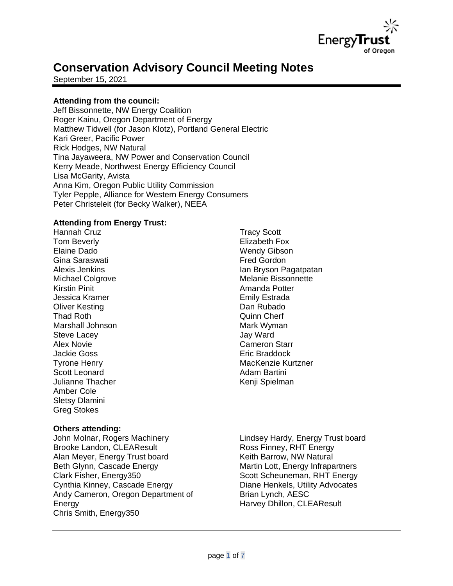

# **Conservation Advisory Council Meeting Notes**

September 15, 2021

# **Attending from the council:**

Jeff Bissonnette, NW Energy Coalition Roger Kainu, Oregon Department of Energy Matthew Tidwell (for Jason Klotz), Portland General Electric Kari Greer, Pacific Power Rick Hodges, NW Natural Tina Jayaweera, NW Power and Conservation Council Kerry Meade, Northwest Energy Efficiency Council Lisa McGarity, Avista Anna Kim, Oregon Public Utility Commission Tyler Pepple, Alliance for Western Energy Consumers Peter Christeleit (for Becky Walker), NEEA

# **Attending from Energy Trust:**

Hannah Cruz Tom Beverly Elaine Dado Gina Saraswati Alexis Jenkins Michael Colgrove Kirstin Pinit Jessica Kramer Oliver Kesting Thad Roth Marshall Johnson Steve Lacey Alex Novie Jackie Goss Tyrone Henry Scott Leonard Julianne Thacher Amber Cole Sletsy Dlamini Greg Stokes

#### **Others attending:**

John Molnar, Rogers Machinery Brooke Landon, CLEAResult Alan Meyer, Energy Trust board Beth Glynn, Cascade Energy Clark Fisher, Energy350 Cynthia Kinney, Cascade Energy Andy Cameron, Oregon Department of Energy Chris Smith, Energy350

Tracy Scott Elizabeth Fox Wendy Gibson Fred Gordon Ian Bryson Pagatpatan Melanie Bissonnette Amanda Potter Emily Estrada Dan Rubado Quinn Cherf Mark Wyman Jay Ward Cameron Starr Eric Braddock MacKenzie Kurtzner Adam Bartini Kenji Spielman

Lindsey Hardy, Energy Trust board Ross Finney, RHT Energy Keith Barrow, NW Natural Martin Lott, Energy Infrapartners Scott Scheuneman, RHT Energy Diane Henkels, Utility Advocates Brian Lynch, AESC Harvey Dhillon, CLEAResult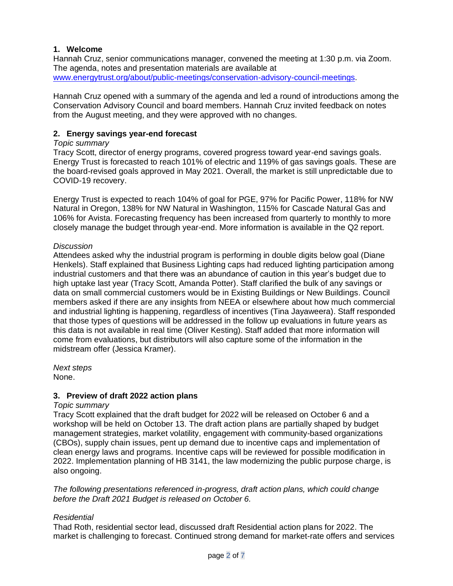# **1. Welcome**

Hannah Cruz, senior communications manager, convened the meeting at 1:30 p.m. via Zoom. The agenda, notes and presentation materials are available at [www.energytrust.org/about/public-meetings/conservation-advisory-council-meetings.](http://www.energytrust.org/about/public-meetings/conservation-advisory-council-meetings)

Hannah Cruz opened with a summary of the agenda and led a round of introductions among the Conservation Advisory Council and board members. Hannah Cruz invited feedback on notes from the August meeting, and they were approved with no changes.

# **2. Energy savings year-end forecast**

# *Topic summary*

Tracy Scott, director of energy programs, covered progress toward year-end savings goals. Energy Trust is forecasted to reach 101% of electric and 119% of gas savings goals. These are the board-revised goals approved in May 2021. Overall, the market is still unpredictable due to COVID-19 recovery.

Energy Trust is expected to reach 104% of goal for PGE, 97% for Pacific Power, 118% for NW Natural in Oregon, 138% for NW Natural in Washington, 115% for Cascade Natural Gas and 106% for Avista. Forecasting frequency has been increased from quarterly to monthly to more closely manage the budget through year-end. More information is available in the Q2 report.

# *Discussion*

Attendees asked why the industrial program is performing in double digits below goal (Diane Henkels). Staff explained that Business Lighting caps had reduced lighting participation among industrial customers and that there was an abundance of caution in this year's budget due to high uptake last year (Tracy Scott, Amanda Potter). Staff clarified the bulk of any savings or data on small commercial customers would be in Existing Buildings or New Buildings. Council members asked if there are any insights from NEEA or elsewhere about how much commercial and industrial lighting is happening, regardless of incentives (Tina Jayaweera). Staff responded that those types of questions will be addressed in the follow up evaluations in future years as this data is not available in real time (Oliver Kesting). Staff added that more information will come from evaluations, but distributors will also capture some of the information in the midstream offer (Jessica Kramer).

*Next steps* None.

# **3. Preview of draft 2022 action plans**

# *Topic summary*

Tracy Scott explained that the draft budget for 2022 will be released on October 6 and a workshop will be held on October 13. The draft action plans are partially shaped by budget management strategies, market volatility, engagement with community-based organizations (CBOs), supply chain issues, pent up demand due to incentive caps and implementation of clean energy laws and programs. Incentive caps will be reviewed for possible modification in 2022. Implementation planning of HB 3141, the law modernizing the public purpose charge, is also ongoing.

*The following presentations referenced in-progress, draft action plans, which could change before the Draft 2021 Budget is released on October 6.*

# *Residential*

Thad Roth, residential sector lead, discussed draft Residential action plans for 2022. The market is challenging to forecast. Continued strong demand for market-rate offers and services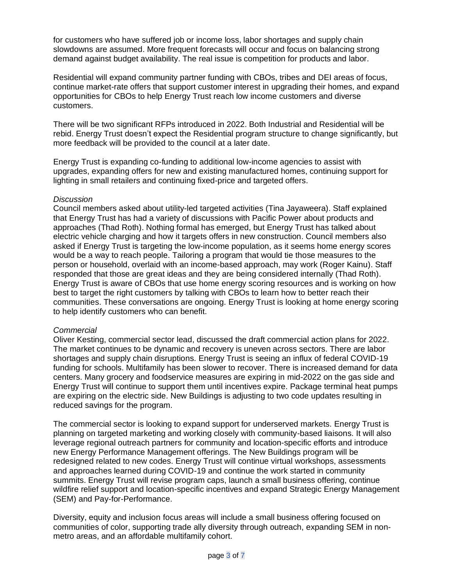for customers who have suffered job or income loss, labor shortages and supply chain slowdowns are assumed. More frequent forecasts will occur and focus on balancing strong demand against budget availability. The real issue is competition for products and labor.

Residential will expand community partner funding with CBOs, tribes and DEI areas of focus, continue market-rate offers that support customer interest in upgrading their homes, and expand opportunities for CBOs to help Energy Trust reach low income customers and diverse customers.

There will be two significant RFPs introduced in 2022. Both Industrial and Residential will be rebid. Energy Trust doesn't expect the Residential program structure to change significantly, but more feedback will be provided to the council at a later date.

Energy Trust is expanding co-funding to additional low-income agencies to assist with upgrades, expanding offers for new and existing manufactured homes, continuing support for lighting in small retailers and continuing fixed-price and targeted offers.

#### *Discussion*

Council members asked about utility-led targeted activities (Tina Jayaweera). Staff explained that Energy Trust has had a variety of discussions with Pacific Power about products and approaches (Thad Roth). Nothing formal has emerged, but Energy Trust has talked about electric vehicle charging and how it targets offers in new construction. Council members also asked if Energy Trust is targeting the low-income population, as it seems home energy scores would be a way to reach people. Tailoring a program that would tie those measures to the person or household, overlaid with an income-based approach, may work (Roger Kainu). Staff responded that those are great ideas and they are being considered internally (Thad Roth). Energy Trust is aware of CBOs that use home energy scoring resources and is working on how best to target the right customers by talking with CBOs to learn how to better reach their communities. These conversations are ongoing. Energy Trust is looking at home energy scoring to help identify customers who can benefit.

# *Commercial*

Oliver Kesting, commercial sector lead, discussed the draft commercial action plans for 2022. The market continues to be dynamic and recovery is uneven across sectors. There are labor shortages and supply chain disruptions. Energy Trust is seeing an influx of federal COVID-19 funding for schools. Multifamily has been slower to recover. There is increased demand for data centers. Many grocery and foodservice measures are expiring in mid-2022 on the gas side and Energy Trust will continue to support them until incentives expire. Package terminal heat pumps are expiring on the electric side. New Buildings is adjusting to two code updates resulting in reduced savings for the program.

The commercial sector is looking to expand support for underserved markets. Energy Trust is planning on targeted marketing and working closely with community-based liaisons. It will also leverage regional outreach partners for community and location-specific efforts and introduce new Energy Performance Management offerings. The New Buildings program will be redesigned related to new codes. Energy Trust will continue virtual workshops, assessments and approaches learned during COVID-19 and continue the work started in community summits. Energy Trust will revise program caps, launch a small business offering, continue wildfire relief support and location-specific incentives and expand Strategic Energy Management (SEM) and Pay-for-Performance.

Diversity, equity and inclusion focus areas will include a small business offering focused on communities of color, supporting trade ally diversity through outreach, expanding SEM in nonmetro areas, and an affordable multifamily cohort.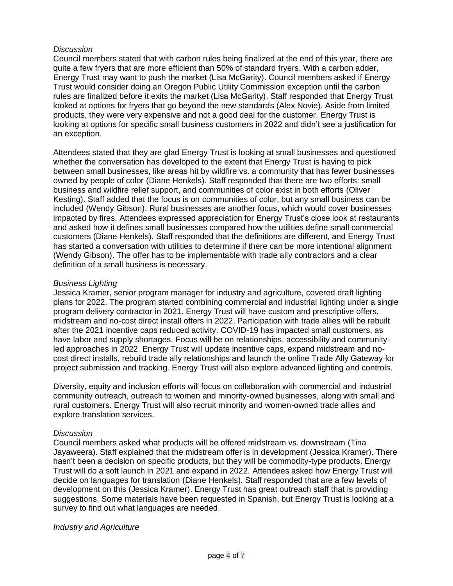# *Discussion*

Council members stated that with carbon rules being finalized at the end of this year, there are quite a few fryers that are more efficient than 50% of standard fryers. With a carbon adder, Energy Trust may want to push the market (Lisa McGarity). Council members asked if Energy Trust would consider doing an Oregon Public Utility Commission exception until the carbon rules are finalized before it exits the market (Lisa McGarity). Staff responded that Energy Trust looked at options for fryers that go beyond the new standards (Alex Novie). Aside from limited products, they were very expensive and not a good deal for the customer. Energy Trust is looking at options for specific small business customers in 2022 and didn't see a justification for an exception.

Attendees stated that they are glad Energy Trust is looking at small businesses and questioned whether the conversation has developed to the extent that Energy Trust is having to pick between small businesses, like areas hit by wildfire vs. a community that has fewer businesses owned by people of color (Diane Henkels). Staff responded that there are two efforts: small business and wildfire relief support, and communities of color exist in both efforts (Oliver Kesting). Staff added that the focus is on communities of color, but any small business can be included (Wendy Gibson). Rural businesses are another focus, which would cover businesses impacted by fires. Attendees expressed appreciation for Energy Trust's close look at restaurants and asked how it defines small businesses compared how the utilities define small commercial customers (Diane Henkels). Staff responded that the definitions are different, and Energy Trust has started a conversation with utilities to determine if there can be more intentional alignment (Wendy Gibson). The offer has to be implementable with trade ally contractors and a clear definition of a small business is necessary.

# *Business Lighting*

Jessica Kramer, senior program manager for industry and agriculture, covered draft lighting plans for 2022. The program started combining commercial and industrial lighting under a single program delivery contractor in 2021. Energy Trust will have custom and prescriptive offers, midstream and no-cost direct install offers in 2022. Participation with trade allies will be rebuilt after the 2021 incentive caps reduced activity. COVID-19 has impacted small customers, as have labor and supply shortages. Focus will be on relationships, accessibility and communityled approaches in 2022. Energy Trust will update incentive caps, expand midstream and nocost direct installs, rebuild trade ally relationships and launch the online Trade Ally Gateway for project submission and tracking. Energy Trust will also explore advanced lighting and controls.

Diversity, equity and inclusion efforts will focus on collaboration with commercial and industrial community outreach, outreach to women and minority-owned businesses, along with small and rural customers. Energy Trust will also recruit minority and women-owned trade allies and explore translation services.

#### *Discussion*

Council members asked what products will be offered midstream vs. downstream (Tina Jayaweera). Staff explained that the midstream offer is in development (Jessica Kramer). There hasn't been a decision on specific products, but they will be commodity-type products. Energy Trust will do a soft launch in 2021 and expand in 2022. Attendees asked how Energy Trust will decide on languages for translation (Diane Henkels). Staff responded that are a few levels of development on this (Jessica Kramer). Energy Trust has great outreach staff that is providing suggestions. Some materials have been requested in Spanish, but Energy Trust is looking at a survey to find out what languages are needed.

#### *Industry and Agriculture*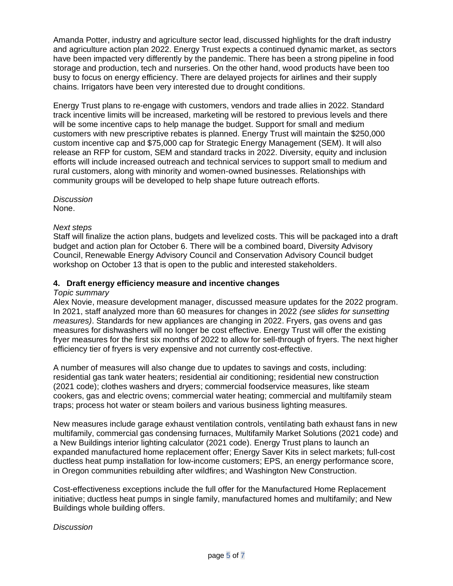Amanda Potter, industry and agriculture sector lead, discussed highlights for the draft industry and agriculture action plan 2022. Energy Trust expects a continued dynamic market, as sectors have been impacted very differently by the pandemic. There has been a strong pipeline in food storage and production, tech and nurseries. On the other hand, wood products have been too busy to focus on energy efficiency. There are delayed projects for airlines and their supply chains. Irrigators have been very interested due to drought conditions.

Energy Trust plans to re-engage with customers, vendors and trade allies in 2022. Standard track incentive limits will be increased, marketing will be restored to previous levels and there will be some incentive caps to help manage the budget. Support for small and medium customers with new prescriptive rebates is planned. Energy Trust will maintain the \$250,000 custom incentive cap and \$75,000 cap for Strategic Energy Management (SEM). It will also release an RFP for custom, SEM and standard tracks in 2022. Diversity, equity and inclusion efforts will include increased outreach and technical services to support small to medium and rural customers, along with minority and women-owned businesses. Relationships with community groups will be developed to help shape future outreach efforts.

*Discussion* None.

# *Next steps*

Staff will finalize the action plans, budgets and levelized costs. This will be packaged into a draft budget and action plan for October 6. There will be a combined board, Diversity Advisory Council, Renewable Energy Advisory Council and Conservation Advisory Council budget workshop on October 13 that is open to the public and interested stakeholders.

# **4. Draft energy efficiency measure and incentive changes**

#### *Topic summary*

Alex Novie, measure development manager, discussed measure updates for the 2022 program. In 2021, staff analyzed more than 60 measures for changes in 2022 *(see slides for sunsetting measures)*. Standards for new appliances are changing in 2022. Fryers, gas ovens and gas measures for dishwashers will no longer be cost effective. Energy Trust will offer the existing fryer measures for the first six months of 2022 to allow for sell-through of fryers. The next higher efficiency tier of fryers is very expensive and not currently cost-effective.

A number of measures will also change due to updates to savings and costs, including: residential gas tank water heaters; residential air conditioning; residential new construction (2021 code); clothes washers and dryers; commercial foodservice measures, like steam cookers, gas and electric ovens; commercial water heating; commercial and multifamily steam traps; process hot water or steam boilers and various business lighting measures.

New measures include garage exhaust ventilation controls, ventilating bath exhaust fans in new multifamily, commercial gas condensing furnaces, Multifamily Market Solutions (2021 code) and a New Buildings interior lighting calculator (2021 code). Energy Trust plans to launch an expanded manufactured home replacement offer; Energy Saver Kits in select markets; full-cost ductless heat pump installation for low-income customers; EPS, an energy performance score, in Oregon communities rebuilding after wildfires; and Washington New Construction.

Cost-effectiveness exceptions include the full offer for the Manufactured Home Replacement initiative; ductless heat pumps in single family, manufactured homes and multifamily; and New Buildings whole building offers.

# *Discussion*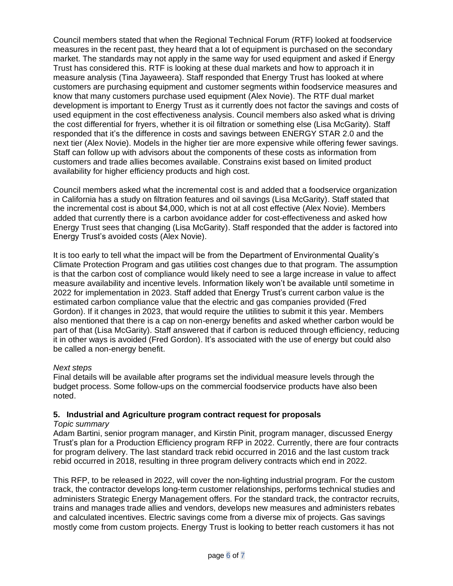Council members stated that when the Regional Technical Forum (RTF) looked at foodservice measures in the recent past, they heard that a lot of equipment is purchased on the secondary market. The standards may not apply in the same way for used equipment and asked if Energy Trust has considered this. RTF is looking at these dual markets and how to approach it in measure analysis (Tina Jayaweera). Staff responded that Energy Trust has looked at where customers are purchasing equipment and customer segments within foodservice measures and know that many customers purchase used equipment (Alex Novie). The RTF dual market development is important to Energy Trust as it currently does not factor the savings and costs of used equipment in the cost effectiveness analysis. Council members also asked what is driving the cost differential for fryers, whether it is oil filtration or something else (Lisa McGarity). Staff responded that it's the difference in costs and savings between ENERGY STAR 2.0 and the next tier (Alex Novie). Models in the higher tier are more expensive while offering fewer savings. Staff can follow up with advisors about the components of these costs as information from customers and trade allies becomes available. Constrains exist based on limited product availability for higher efficiency products and high cost.

Council members asked what the incremental cost is and added that a foodservice organization in California has a study on filtration features and oil savings (Lisa McGarity). Staff stated that the incremental cost is about \$4,000, which is not at all cost effective (Alex Novie). Members added that currently there is a carbon avoidance adder for cost-effectiveness and asked how Energy Trust sees that changing (Lisa McGarity). Staff responded that the adder is factored into Energy Trust's avoided costs (Alex Novie).

It is too early to tell what the impact will be from the Department of Environmental Quality's Climate Protection Program and gas utilities cost changes due to that program. The assumption is that the carbon cost of compliance would likely need to see a large increase in value to affect measure availability and incentive levels. Information likely won't be available until sometime in 2022 for implementation in 2023. Staff added that Energy Trust's current carbon value is the estimated carbon compliance value that the electric and gas companies provided (Fred Gordon). If it changes in 2023, that would require the utilities to submit it this year. Members also mentioned that there is a cap on non-energy benefits and asked whether carbon would be part of that (Lisa McGarity). Staff answered that if carbon is reduced through efficiency, reducing it in other ways is avoided (Fred Gordon). It's associated with the use of energy but could also be called a non-energy benefit.

# *Next steps*

Final details will be available after programs set the individual measure levels through the budget process. Some follow-ups on the commercial foodservice products have also been noted.

# **5. Industrial and Agriculture program contract request for proposals**

#### *Topic summary*

Adam Bartini, senior program manager, and Kirstin Pinit, program manager, discussed Energy Trust's plan for a Production Efficiency program RFP in 2022. Currently, there are four contracts for program delivery. The last standard track rebid occurred in 2016 and the last custom track rebid occurred in 2018, resulting in three program delivery contracts which end in 2022.

This RFP, to be released in 2022, will cover the non-lighting industrial program. For the custom track, the contractor develops long-term customer relationships, performs technical studies and administers Strategic Energy Management offers. For the standard track, the contractor recruits, trains and manages trade allies and vendors, develops new measures and administers rebates and calculated incentives. Electric savings come from a diverse mix of projects. Gas savings mostly come from custom projects. Energy Trust is looking to better reach customers it has not